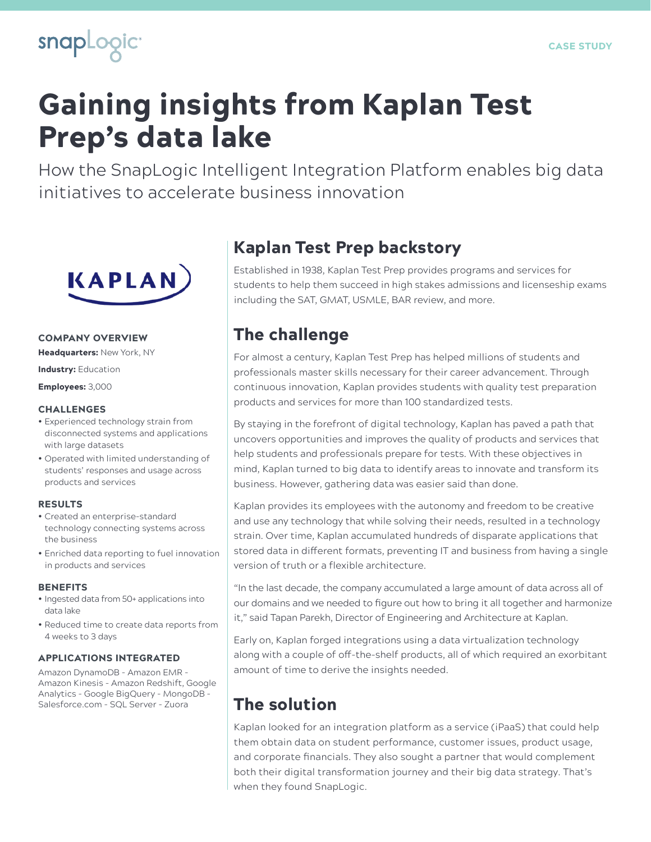

# Gaining insights from Kaplan Test Prep's data lake

How the SnapLogic Intelligent Integration Platform enables big data initiatives to accelerate business innovation



### COMPANY OVERVIEW

Headquarters: New York, NY

Industry: Education

Employees: 3,000

#### CHALLENGES

- Experienced technology strain from disconnected systems and applications with large datasets
- Operated with limited understanding of students' responses and usage across products and services

#### RESULTS

- Created an enterprise-standard technology connecting systems across the business
- Enriched data reporting to fuel innovation in products and services

#### **BENEFITS**

- Ingested data from 50+ applications into data lake
- Reduced time to create data reports from 4 weeks to 3 days

### APPLICATIONS INTEGRATED

Amazon DynamoDB - Amazon EMR - Amazon Kinesis - Amazon Redshift, Google Analytics - Google BigQuery - MongoDB - Salesforce.com - SQL Server - Zuora

### Kaplan Test Prep backstory

Established in 1938, Kaplan Test Prep provides programs and services for students to help them succeed in high stakes admissions and licenseship exams including the SAT, GMAT, USMLE, BAR review, and more.

### The challenge

For almost a century, Kaplan Test Prep has helped millions of students and professionals master skills necessary for their career advancement. Through continuous innovation, Kaplan provides students with quality test preparation products and services for more than 100 standardized tests.

By staying in the forefront of digital technology, Kaplan has paved a path that uncovers opportunities and improves the quality of products and services that help students and professionals prepare for tests. With these objectives in mind, Kaplan turned to big data to identify areas to innovate and transform its business. However, gathering data was easier said than done.

Kaplan provides its employees with the autonomy and freedom to be creative and use any technology that while solving their needs, resulted in a technology strain. Over time, Kaplan accumulated hundreds of disparate applications that stored data in different formats, preventing IT and business from having a single version of truth or a flexible architecture.

"In the last decade, the company accumulated a large amount of data across all of our domains and we needed to figure out how to bring it all together and harmonize it," said Tapan Parekh, Director of Engineering and Architecture at Kaplan.

Early on, Kaplan forged integrations using a data virtualization technology along with a couple of off-the-shelf products, all of which required an exorbitant amount of time to derive the insights needed.

## The solution

Kaplan looked for an integration platform as a service (iPaaS) that could help them obtain data on student performance, customer issues, product usage, and corporate financials. They also sought a partner that would complement both their digital transformation journey and their big data strategy. That's when they found SnapLogic.